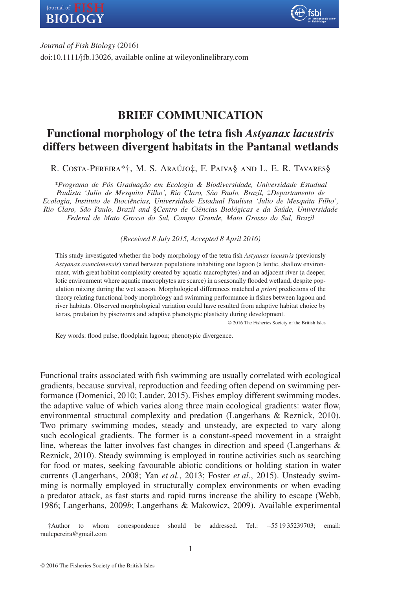



*Journal of Fish Biology* (2016) doi:10.1111/jfb.13026, available online at wileyonlinelibrary.com

# **BRIEF COMMUNICATION**

# **Functional morphology of the tetra fish** *Astyanax lacustris* **differs between divergent habitats in the Pantanal wetlands**

R. Costa-Pereira\*†, M. S. Araújo‡, F. Paiva§ and L. E. R. Tavares§

*\*Programa de Pós Graduação em Ecologia & Biodiversidade, Universidade Estadual Paulista 'Julio de Mesquita Filho', Rio Claro, São Paulo, Brazil,* ‡*Departamento de Ecologia, Instituto de Biociências, Universidade Estadual Paulista 'Julio de Mesquita Filho', Rio Claro, São Paulo, Brazil and* §*Centro de Ciências Biológicas e da Saúde, Universidade Federal de Mato Grosso do Sul, Campo Grande, Mato Grosso do Sul, Brazil*

*(Received 8 July 2015, Accepted 8 April 2016)*

This study investigated whether the body morphology of the tetra fish *Astyanax lacustris* (previously *Astyanax asuncionensis*) varied between populations inhabiting one lagoon (a lentic, shallow environment, with great habitat complexity created by aquatic macrophytes) and an adjacent river (a deeper, lotic environment where aquatic macrophytes are scarce) in a seasonally flooded wetland, despite population mixing during the wet season. Morphological differences matched *a priori* predictions of the theory relating functional body morphology and swimming performance in fishes between lagoon and river habitats. Observed morphological variation could have resulted from adaptive habitat choice by tetras, predation by piscivores and adaptive phenotypic plasticity during development.

© 2016 The Fisheries Society of the British Isles

Key words: flood pulse; floodplain lagoon; phenotypic divergence.

Functional traits associated with fish swimming are usually correlated with ecological gradients, because survival, reproduction and feeding often depend on swimming performance (Domenici, 2010; Lauder, 2015). Fishes employ different swimming modes, the adaptive value of which varies along three main ecological gradients: water flow, environmental structural complexity and predation (Langerhans & Reznick, 2010). Two primary swimming modes, steady and unsteady, are expected to vary along such ecological gradients. The former is a constant-speed movement in a straight line, whereas the latter involves fast changes in direction and speed (Langerhans  $\&$ Reznick, 2010). Steady swimming is employed in routine activities such as searching for food or mates, seeking favourable abiotic conditions or holding station in water currents (Langerhans, 2008; Yan *et al.*, 2013; Foster *et al.*, 2015). Unsteady swimming is normally employed in structurally complex environments or when evading a predator attack, as fast starts and rapid turns increase the ability to escape (Webb, 1986; Langerhans, 2009*b*; Langerhans & Makowicz, 2009). Available experimental

†Author to whom correspondence should be addressed. Tel.: +55 19 35239703; email: raulcpereira@gmail.com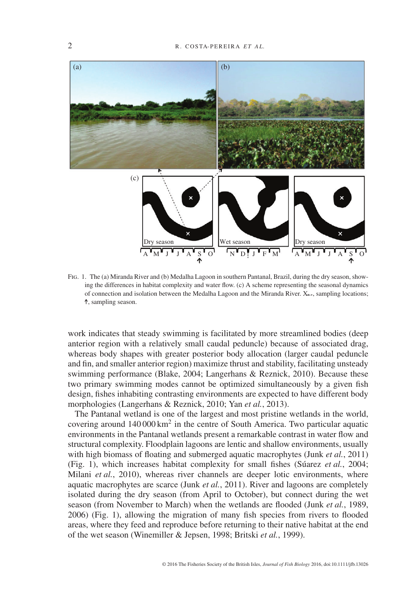

Fig. 1. The (a) Miranda River and (b) Medalha Lagoon in southern Pantanal, Brazil, during the dry season, showing the differences in habitat complexity and water flow. (c) A scheme representing the seasonal dynamics of connection and isolation between the Medalha Lagoon and the Miranda River.  $X_{\mathbf{g}+1}$ , sampling locations; , sampling season.

work indicates that steady swimming is facilitated by more streamlined bodies (deep anterior region with a relatively small caudal peduncle) because of associated drag, whereas body shapes with greater posterior body allocation (larger caudal peduncle and fin, and smaller anterior region) maximize thrust and stability, facilitating unsteady swimming performance (Blake, 2004; Langerhans & Reznick, 2010). Because these two primary swimming modes cannot be optimized simultaneously by a given fish design, fishes inhabiting contrasting environments are expected to have different body morphologies (Langerhans & Reznick, 2010; Yan *et al.*, 2013).

The Pantanal wetland is one of the largest and most pristine wetlands in the world, covering around 140 000 km2 in the centre of South America. Two particular aquatic environments in the Pantanal wetlands present a remarkable contrast in water flow and structural complexity. Floodplain lagoons are lentic and shallow environments, usually with high biomass of floating and submerged aquatic macrophytes (Junk *et al.*, 2011) (Fig. 1), which increases habitat complexity for small fishes (Súarez *et al.*, 2004; Milani *et al.*, 2010), whereas river channels are deeper lotic environments, where aquatic macrophytes are scarce (Junk *et al.*, 2011). River and lagoons are completely isolated during the dry season (from April to October), but connect during the wet season (from November to March) when the wetlands are flooded (Junk *et al.*, 1989, 2006) (Fig. 1), allowing the migration of many fish species from rivers to flooded areas, where they feed and reproduce before returning to their native habitat at the end of the wet season (Winemiller & Jepsen, 1998; Britski *et al.*, 1999).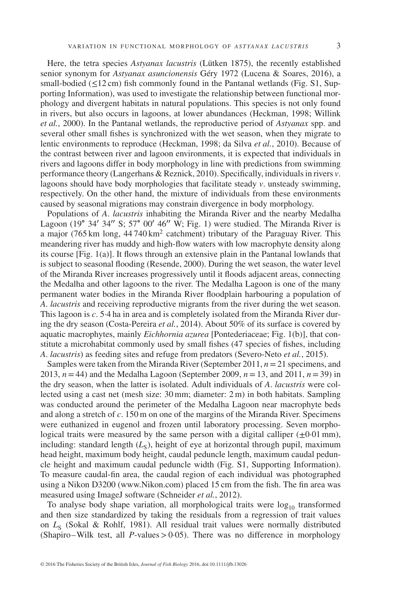Here, the tetra species *Astyanax lacustris* (Lütken 1875), the recently established senior synonym for *Astyanax asuncionensis* Géry 1972 (Lucena & Soares, 2016), a small-bodied ( $\leq$ 12 cm) fish commonly found in the Pantanal wetlands (Fig. S1, Supporting Information), was used to investigate the relationship between functional morphology and divergent habitats in natural populations. This species is not only found in rivers, but also occurs in lagoons, at lower abundances (Heckman, 1998; Willink *et al.*, 2000). In the Pantanal wetlands, the reproductive period of *Astyanax* spp. and several other small fishes is synchronized with the wet season, when they migrate to lentic environments to reproduce (Heckman, 1998; da Silva *et al.*, 2010). Because of the contrast between river and lagoon environments, it is expected that individuals in rivers and lagoons differ in body morphology in line with predictions from swimming performance theory (Langerhans & Reznick, 2010). Specifically, individuals in rivers *v*. lagoons should have body morphologies that facilitate steady *v*. unsteady swimming, respectively. On the other hand, the mixture of individuals from these environments caused by seasonal migrations may constrain divergence in body morphology.

Populations of *A*. *lacustris* inhabiting the Miranda River and the nearby Medalha Lagoon (19∘ 34′ 34′′ S; 57∘ 00′ 46′′ W; Fig. 1) were studied. The Miranda River is a major (765 km long,  $44740 \text{ km}^2$  catchment) tributary of the Paraguay River. This meandering river has muddy and high-flow waters with low macrophyte density along its course [Fig. 1(a)]. It flows through an extensive plain in the Pantanal lowlands that is subject to seasonal flooding (Resende, 2000). During the wet season, the water level of the Miranda River increases progressively until it floods adjacent areas, connecting the Medalha and other lagoons to the river. The Medalha Lagoon is one of the many permanent water bodies in the Miranda River floodplain harbouring a population of *A*. *lacustris* and receiving reproductive migrants from the river during the wet season. This lagoon is *c*. 5·4 ha in area and is completely isolated from the Miranda River during the dry season (Costa-Pereira *et al.*, 2014). About 50% of its surface is covered by aquatic macrophytes, mainly *Eichhornia azurea* [Pontederiaceae; Fig. 1(b)], that constitute a microhabitat commonly used by small fishes (47 species of fishes, including *A*. *lacustris*) as feeding sites and refuge from predators (Severo-Neto *et al.*, 2015).

Samples were taken from the Miranda River (September 2011, *n*=21 specimens, and 2013,  $n = 44$ ) and the Medalha Lagoon (September 2009,  $n = 13$ , and 2011,  $n = 39$ ) in the dry season, when the latter is isolated. Adult individuals of *A*. *lacustris* were collected using a cast net (mesh size: 30 mm; diameter: 2 m) in both habitats. Sampling was conducted around the perimeter of the Medalha Lagoon near macrophyte beds and along a stretch of *c*. 150 m on one of the margins of the Miranda River. Specimens were euthanized in eugenol and frozen until laboratory processing. Seven morphological traits were measured by the same person with a digital calliper  $(\pm 0.01 \text{ mm})$ , including: standard length  $(L<sub>s</sub>)$ , height of eye at horizontal through pupil, maximum head height, maximum body height, caudal peduncle length, maximum caudal peduncle height and maximum caudal peduncle width (Fig. S1, Supporting Information). To measure caudal-fin area, the caudal region of each individual was photographed using a Nikon D3200 (www.Nikon.com) placed 15 cm from the fish. The fin area was measured using ImageJ software (Schneider *et al.*, 2012).

To analyse body shape variation, all morphological traits were  $log_{10}$  transformed and then size standardized by taking the residuals from a regression of trait values on  $L<sub>s</sub>$  (Sokal & Rohlf, 1981). All residual trait values were normally distributed (Shapiro–Wilk test, all *P*-values*>*0·05). There was no difference in morphology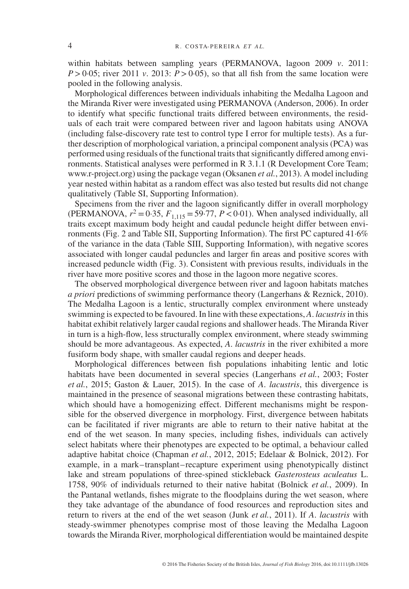within habitats between sampling years (PERMANOVA, lagoon 2009 *v*. 2011:  $P > 0.05$ ; river 2011 *v*. 2013;  $P > 0.05$ ), so that all fish from the same location were pooled in the following analysis.

Morphological differences between individuals inhabiting the Medalha Lagoon and the Miranda River were investigated using PERMANOVA (Anderson, 2006). In order to identify what specific functional traits differed between environments, the residuals of each trait were compared between river and lagoon habitats using ANOVA (including false-discovery rate test to control type I error for multiple tests). As a further description of morphological variation, a principal component analysis (PCA) was performed using residuals of the functional traits that significantly differed among environments. Statistical analyses were performed in R 3.1.1 (R Development Core Team; www.r-project.org) using the package vegan (Oksanen *et al.*, 2013). A model including year nested within habitat as a random effect was also tested but results did not change qualitatively (Table SI, Supporting Information).

Specimens from the river and the lagoon significantly differ in overall morphology (PERMANOVA,  $r^2 = 0.35$ ,  $F_{1,115} = 59.77$ ,  $P < 0.01$ ). When analysed individually, all traits except maximum body height and caudal peduncle height differ between environments (Fig. 2 and Table SII, Supporting Information). The first PC captured 41·6% of the variance in the data (Table SIII, Supporting Information), with negative scores associated with longer caudal peduncles and larger fin areas and positive scores with increased peduncle width (Fig. 3). Consistent with previous results, individuals in the river have more positive scores and those in the lagoon more negative scores.

The observed morphological divergence between river and lagoon habitats matches *a priori* predictions of swimming performance theory (Langerhans & Reznick, 2010). The Medalha Lagoon is a lentic, structurally complex environment where unsteady swimming is expected to be favoured. In line with these expectations, *A*. *lacustris*in this habitat exhibit relatively larger caudal regions and shallower heads. The Miranda River in turn is a high-flow, less structurally complex environment, where steady swimming should be more advantageous. As expected, *A*. *lacustris* in the river exhibited a more fusiform body shape, with smaller caudal regions and deeper heads.

Morphological differences between fish populations inhabiting lentic and lotic habitats have been documented in several species (Langerhans *et al.*, 2003; Foster *et al.*, 2015; Gaston & Lauer, 2015). In the case of *A*. *lacustris*, this divergence is maintained in the presence of seasonal migrations between these contrasting habitats, which should have a homogenizing effect. Different mechanisms might be responsible for the observed divergence in morphology. First, divergence between habitats can be facilitated if river migrants are able to return to their native habitat at the end of the wet season. In many species, including fishes, individuals can actively select habitats where their phenotypes are expected to be optimal, a behaviour called adaptive habitat choice (Chapman *et al.*, 2012, 2015; Edelaar & Bolnick, 2012). For example, in a mark–transplant–recapture experiment using phenotypically distinct lake and stream populations of three-spined stickleback *Gasterosteus aculeatus* L. 1758, 90% of individuals returned to their native habitat (Bolnick *et al.*, 2009). In the Pantanal wetlands, fishes migrate to the floodplains during the wet season, where they take advantage of the abundance of food resources and reproduction sites and return to rivers at the end of the wet season (Junk *et al.*, 2011). If *A*. *lacustris* with steady-swimmer phenotypes comprise most of those leaving the Medalha Lagoon towards the Miranda River, morphological differentiation would be maintained despite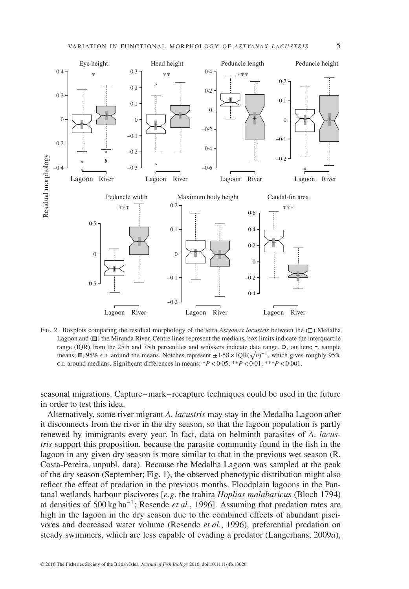

FIG. 2. Boxplots comparing the residual morphology of the tetra *Astyanax lacustris* between the  $(\Box)$  Medalha Lagoon and  $(\Box)$  the Miranda River. Centre lines represent the medians, box limits indicate the interquartile range (IQR) from the 25th and 75th percentiles and whiskers indicate data range.  $\circ$ , outliers;  $\dagger$ , sample means;  $\blacksquare$ , 95% c.i. around the means. Notches represent  $\pm 1.58 \times IQR(\sqrt{n})^{-1}$ , which gives roughly 95% c.i. around medians. Significant differences in means: \**P<*0·05; \*\**P<*0·01; \*\*\**P<*0·001.

seasonal migrations. Capture–mark–recapture techniques could be used in the future in order to test this idea.

Alternatively, some river migrant *A*. *lacustris* may stay in the Medalha Lagoon after it disconnects from the river in the dry season, so that the lagoon population is partly renewed by immigrants every year. In fact, data on helminth parasites of *A*. *lacustris* support this proposition, because the parasite community found in the fish in the lagoon in any given dry season is more similar to that in the previous wet season (R. Costa-Pereira, unpubl. data). Because the Medalha Lagoon was sampled at the peak of the dry season (September; Fig. 1), the observed phenotypic distribution might also reflect the effect of predation in the previous months. Floodplain lagoons in the Pantanal wetlands harbour piscivores [*e*.*g*. the trahira *Hoplias malabaricus* (Bloch 1794) at densities of 500 kg ha<sup>−</sup>1; Resende *et al.*, 1996]. Assuming that predation rates are high in the lagoon in the dry season due to the combined effects of abundant piscivores and decreased water volume (Resende *et al.*, 1996), preferential predation on steady swimmers, which are less capable of evading a predator (Langerhans, 2009*a*),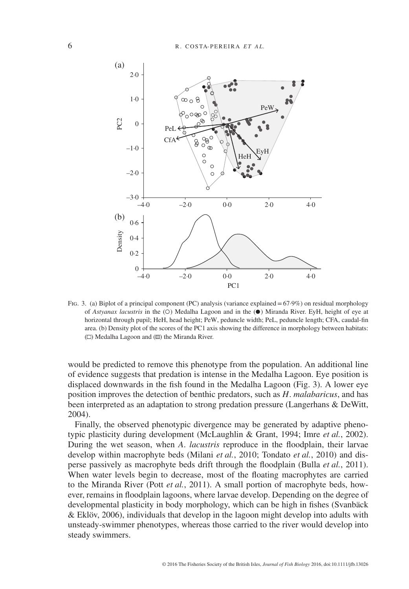

FIG. 3. (a) Biplot of a principal component (PC) analysis (variance explained = 67.9%) on residual morphology of *Astyanax lacustris* in the (O) Medalha Lagoon and in the ( $\bullet$ ) Miranda River. EyH, height of eye at horizontal through pupil; HeH, head height; PeW, peduncle width; PeL, peduncle length; CFA, caudal-fin area. (b) Density plot of the scores of the PC1 axis showing the difference in morphology between habitats:  $(\Box)$  Medalha Lagoon and  $(\Box)$  the Miranda River.

would be predicted to remove this phenotype from the population. An additional line of evidence suggests that predation is intense in the Medalha Lagoon. Eye position is displaced downwards in the fish found in the Medalha Lagoon (Fig. 3). A lower eye position improves the detection of benthic predators, such as *H*. *malabaricus*, and has been interpreted as an adaptation to strong predation pressure (Langerhans & DeWitt, 2004).

Finally, the observed phenotypic divergence may be generated by adaptive phenotypic plasticity during development (McLaughlin & Grant, 1994; Imre *et al.*, 2002). During the wet season, when *A*. *lacustris* reproduce in the floodplain, their larvae develop within macrophyte beds (Milani *et al.*, 2010; Tondato *et al.*, 2010) and disperse passively as macrophyte beds drift through the floodplain (Bulla *et al.*, 2011). When water levels begin to decrease, most of the floating macrophytes are carried to the Miranda River (Pott *et al.*, 2011). A small portion of macrophyte beds, however, remains in floodplain lagoons, where larvae develop. Depending on the degree of developmental plasticity in body morphology, which can be high in fishes (Svanbäck & Eklöv, 2006), individuals that develop in the lagoon might develop into adults with unsteady-swimmer phenotypes, whereas those carried to the river would develop into steady swimmers.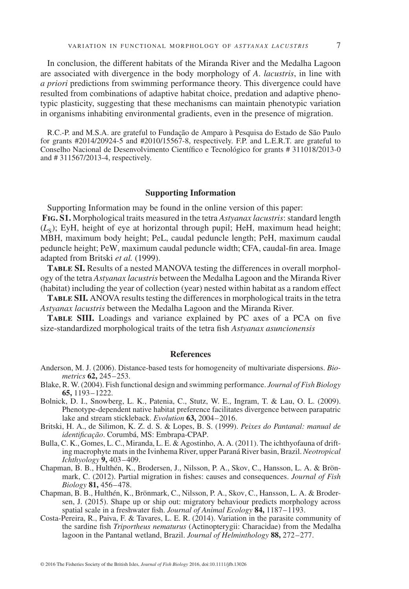In conclusion, the different habitats of the Miranda River and the Medalha Lagoon are associated with divergence in the body morphology of *A*. *lacustris*, in line with *a priori* predictions from swimming performance theory. This divergence could have resulted from combinations of adaptive habitat choice, predation and adaptive phenotypic plasticity, suggesting that these mechanisms can maintain phenotypic variation in organisms inhabiting environmental gradients, even in the presence of migration.

R.C.-P. and M.S.A. are grateful to Fundação de Amparo à Pesquisa do Estado de São Paulo for grants  $\#2014/20924-5$  and  $\#2010/15567-8$ , respectively. F.P. and L.E.R.T. are grateful to Conselho Nacional de Desenvolvimento Científico e Tecnológico for grants # 311018/2013-0 and # 311567/2013-4, respectively.

## **Supporting Information**

Supporting Information may be found in the online version of this paper: **Fig. S1.** Morphological traits measured in the tetra *Astyanax lacustris*: standard length  $(L<sub>s</sub>)$ ; EyH, height of eye at horizontal through pupil; HeH, maximum head height; MBH, maximum body height; PeL, caudal peduncle length; PeH, maximum caudal peduncle height; PeW, maximum caudal peduncle width; CFA, caudal-fin area. Image adapted from Britski *et al.* (1999).

**Table SI.** Results of a nested MANOVA testing the differences in overall morphology of the tetra *Astyanax lacustris* between the Medalha Lagoon and the Miranda River (habitat) including the year of collection (year) nested within habitat as a random effect

**Table SII.** ANOVA results testing the differences in morphological traits in the tetra *Astyanax lacustris* between the Medalha Lagoon and the Miranda River.

**Table SIII.** Loadings and variance explained by PC axes of a PCA on five size-standardized morphological traits of the tetra fish *Astyanax asuncionensis*

### **References**

- Anderson, M. J. (2006). Distance-based tests for homogeneity of multivariate dispersions. *Biometrics* **62,** 245–253.
- Blake, R. W. (2004). Fish functional design and swimming performance. *Journal of Fish Biology* **65,** 1193–1222.
- Bolnick, D. I., Snowberg, L. K., Patenia, C., Stutz, W. E., Ingram, T. & Lau, O. L. (2009). Phenotype-dependent native habitat preference facilitates divergence between parapatric lake and stream stickleback. *Evolution* **63,** 2004–2016.
- Britski, H. A., de Silimon, K. Z. d. S. & Lopes, B. S. (1999). *Peixes do Pantanal: manual de identificação*. Corumbá, MS: Embrapa-CPAP.
- Bulla, C. K., Gomes, L. C., Miranda, L. E. & Agostinho, A. A. (2011). The ichthyofauna of drifting macrophyte mats in the Ivinhema River, upper Paraná River basin, Brazil. *Neotropical Ichthyology* **9,** 403–409.
- Chapman, B. B., Hulthén, K., Brodersen, J., Nilsson, P. A., Skov, C., Hansson, L. A. & Brönmark, C. (2012). Partial migration in fishes: causes and consequences. *Journal of Fish Biology* **81,** 456–478.
- Chapman, B. B., Hulthén, K., Brönmark, C., Nilsson, P. A., Skov, C., Hansson, L. A. & Brodersen, J. (2015). Shape up or ship out: migratory behaviour predicts morphology across spatial scale in a freshwater fish. *Journal of Animal Ecology* **84,** 1187–1193.
- Costa-Pereira, R., Paiva, F. & Tavares, L. E. R. (2014). Variation in the parasite community of the sardine fish *Triportheus nematurus* (Actinopterygii: Characidae) from the Medalha lagoon in the Pantanal wetland, Brazil. *Journal of Helminthology* **88,** 272–277.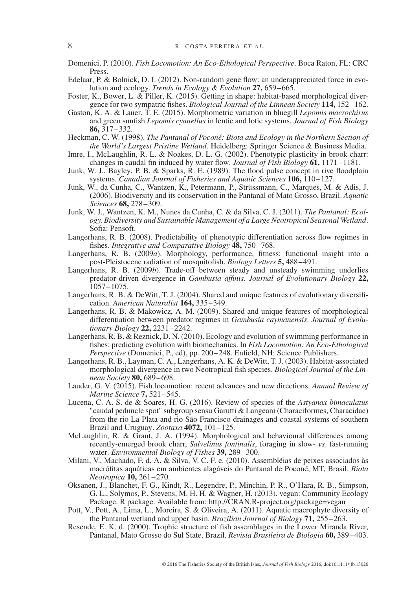Domenici, P. (2010). *Fish Locomotion: An Eco-Ethological Perspective*. Boca Raton, FL: CRC Press.

- Edelaar, P. & Bolnick, D. I. (2012). Non-random gene flow: an underappreciated force in evolution and ecology. *Trends in Ecology & Evolution* **27,** 659–665.
- Foster, K., Bower, L. & Piller, K. (2015). Getting in shape: habitat-based morphological divergence for two sympatric fishes. *Biological Journal of the Linnean Society* **114,** 152–162.
- Gaston, K. A. & Lauer, T. E. (2015). Morphometric variation in bluegill *Lepomis macrochirus* and green sunfish *Lepomis cyanellus* in lentic and lotic systems. *Journal of Fish Biology* **86,** 317–332.
- Heckman, C. W. (1998). *The Pantanal of Poconé: Biota and Ecology in the Northern Section of the World's Largest Pristine Wetland*. Heidelberg: Springer Science & Business Media.
- Imre, I., McLaughlin, R. L. & Noakes, D. L. G. (2002). Phenotypic plasticity in brook charr: changes in caudal fin induced by water flow. *Journal of Fish Biology* **61,** 1171–1181.
- Junk, W. J., Bayley, P. B. & Sparks, R. E. (1989). The flood pulse concept in rive floodplain systems. *Canadian Journal of Fisheries and Aquatic Sciences* **106,** 110–127.
- Junk, W., da Cunha, C., Wantzen, K., Petermann, P., Strüssmann, C., Marques, M. & Adis, J. (2006). Biodiversity and its conservation in the Pantanal of Mato Grosso, Brazil. *Aquatic Sciences* **68,** 278–309.
- Junk, W. J., Wantzen, K. M., Nunes da Cunha, C. & da Silva, C. J. (2011). *The Pantanal: Ecology, Biodiversity and Sustainable Management of a Large Neotropical Seasonal Wetland*. Sofia: Pensoft.
- Langerhans, R. B. (2008). Predictability of phenotypic differentiation across flow regimes in fishes. *Integrative and Comparative Biology* **48,** 750–768.
- Langerhans, R. B. (2009*a*). Morphology, performance, fitness: functional insight into a post-Pleistocene radiation of mosquitofish. *Biology Letters* **5,** 488–491.
- Langerhans, R. B. (2009*b*). Trade-off between steady and unsteady swimming underlies predator-driven divergence in *Gambusia affinis*. *Journal of Evolutionary Biology* **22,** 1057–1075.
- Langerhans, R. B. & DeWitt, T. J. (2004). Shared and unique features of evolutionary diversification. *American Naturalist* **164,** 335–349.
- Langerhans, R. B. & Makowicz, A. M. (2009). Shared and unique features of morphological differentiation between predator regimes in *Gambusia caymanensis*. *Journal of Evolutionary Biology* **22,** 2231–2242.
- Langerhans, R. B. & Reznick, D. N. (2010). Ecology and evolution of swimming performance in fishes: predicting evolution with biomechanics. In *Fish Locomotion: An Eco-Ethological Perspective* (Domenici, P., ed), pp. 200–248. Enfield, NH: Science Publishers.
- Langerhans, R. B., Layman, C. A., Langerhans, A. K. & DeWitt, T. J. (2003). Habitat-associated morphological divergence in two Neotropical fish species. *Biological Journal of the Linnean Society* **80,** 689–698.
- Lauder, G. V. (2015). Fish locomotion: recent advances and new directions. *Annual Review of Marine Science* **7,** 521–545.
- Lucena, C. A. S. de & Soares, H. G. (2016). Review of species of the *Astyanax bimaculatus* "caudal peduncle spot" subgroup sensu Garutti & Langeani (Characiformes, Characidae) from the rio La Plata and rio São Francisco drainages and coastal systems of southern Brazil and Uruguay. *Zootaxa* **4072,** 101–125.
- McLaughlin, R. & Grant, J. A. (1994). Morphological and behavioural differences among recently-emerged brook charr, *Salvelinus fontinalis*, foraging in slow- *vs*. fast-running water. *Environmental Biology of Fishes* **39,** 289–300.
- Milani, V., Machado, F. d. A. & Silva, V. C. F. e. (2010). Assembléias de peixes associados às macrófitas aquáticas em ambientes alagáveis do Pantanal de Poconé, MT, Brasil. *Biota Neotropica* **10,** 261–270.
- Oksanen, J., Blanchet, F. G., Kindt, R., Legendre, P., Minchin, P. R., O'Hara, R. B., Simpson, G. L., Solymos, P., Stevens, M. H. H. & Wagner, H. (2013). vegan: Community Ecology Package. R package. Available from: http://CRAN.R-project.org/package=vegan
- Pott, V., Pott, A., Lima, L., Moreira, S. & Oliveira, A. (2011). Aquatic macrophyte diversity of the Pantanal wetland and upper basin. *Brazilian Journal of Biology* **71,** 255–263.
- Resende, E. K. d. (2000). Trophic structure of fish assemblages in the Lower Miranda River, Pantanal, Mato Grosso do Sul State, Brazil. *Revista Brasileira de Biologia* **60,** 389–403.